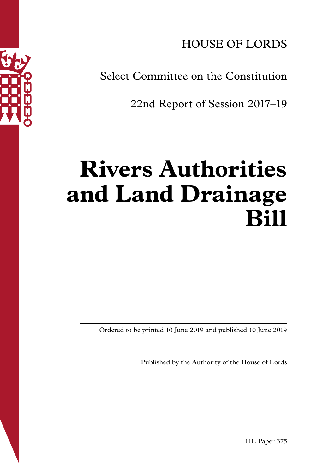

HOUSE OF LORDS

Select Committee on the Constitution

22nd Report of Session 2017–19

# **Rivers Authorities and Land Drainage Bill**

Ordered to be printed 10 June 2019 and published 10 June 2019

Published by the Authority of the House of Lords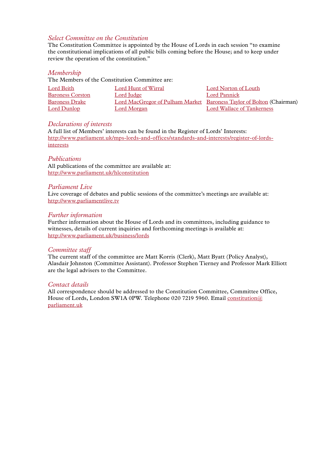## *Select Committee on the Constitution*

The Constitution Committee is appointed by the House of Lords in each session "to examine the constitutional implications of all public bills coming before the House; and to keep under review the operation of the constitution."

#### *Membership*

The Members of the Constitution Committee are:

| Lord Beith              | Lord Hunt of Wirral | Lord Norton of Louth                                                 |
|-------------------------|---------------------|----------------------------------------------------------------------|
| <b>Baroness Corston</b> | Lord Judge          | Lord Pannick                                                         |
| <b>Baroness Drake</b>   |                     | Lord MacGregor of Pulham Market Baroness Taylor of Bolton (Chairman) |
| Lord Dunlop             | Lord Morgan         | Lord Wallace of Tankerness                                           |

## *Declarations of interests*

A full list of Members' interests can be found in the Register of Lords' Interests: http://www.parliament.uk/mps-lords-and-offices/standards-and-interests/register-of-lordsinterests

#### *Publications*

All publications of the committee are available at: http://www.parliament.uk/hlconstitution

#### *Parliament Live*

Live coverage of debates and public sessions of the committee's meetings are available at: http://www.parliamentlive.tv

#### *Further information*

Further information about the House of Lords and its committees, including guidance to witnesses, details of current inquiries and forthcoming meetings is available at: http://www.parliament.uk/business/lords

#### *Committee staff*

The current staff of the committee are Matt Korris (Clerk), Matt Byatt (Policy Analyst), Alasdair Johnston (Committee Assistant). Professor Stephen Tierney and Professor Mark Elliott are the legal advisers to the Committee.

#### *Contact details*

All correspondence should be addressed to the Constitution Committee, Committee Office, House of Lords, London SW1A 0PW. Telephone 020 7219 5960. Email constitution@ parliament.uk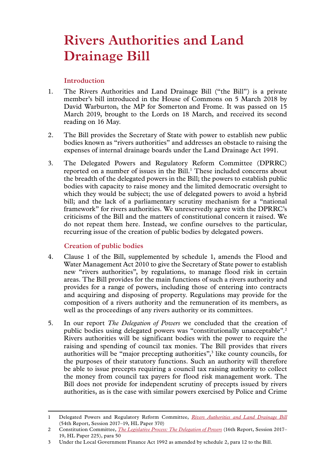# **Rivers Authorities and Land Drainage Bill**

# **Introduction**

- 1. The Rivers Authorities and Land Drainage Bill ("the Bill") is a private member's bill introduced in the House of Commons on 5 March 2018 by David Warburton, the MP for Somerton and Frome. It was passed on 15 March 2019, brought to the Lords on 18 March, and received its second reading on 16 May.
- 2. The Bill provides the Secretary of State with power to establish new public bodies known as "rivers authorities" and addresses an obstacle to raising the expenses of internal drainage boards under the Land Drainage Act 1991.
- 3. The Delegated Powers and Regulatory Reform Committee (DPRRC) reported on a number of issues in the Bill.<sup>1</sup> These included concerns about the breadth of the delegated powers in the Bill; the powers to establish public bodies with capacity to raise money and the limited democratic oversight to which they would be subject; the use of delegated powers to avoid a hybrid bill; and the lack of a parliamentary scrutiny mechanism for a "national framework" for rivers authorities. We unreservedly agree with the DPRRC's criticisms of the Bill and the matters of constitutional concern it raised. We do not repeat them here. Instead, we confine ourselves to the particular, recurring issue of the creation of public bodies by delegated powers.

# **Creation of public bodies**

- 4. Clause 1 of the Bill, supplemented by schedule 1, amends the Flood and Water Management Act 2010 to give the Secretary of State power to establish new "rivers authorities", by regulations, to manage flood risk in certain areas. The Bill provides for the main functions of such a rivers authority and provides for a range of powers, including those of entering into contracts and acquiring and disposing of property. Regulations may provide for the composition of a rivers authority and the remuneration of its members, as well as the proceedings of any rivers authority or its committees.
- 5. In our report *The Delegation of Powers* we concluded that the creation of public bodies using delegated powers was "constitutionally unacceptable".2 Rivers authorities will be significant bodies with the power to require the raising and spending of council tax monies. The Bill provides that rivers authorities will be "major precepting authorities",<sup>3</sup> like county councils, for the purposes of their statutory functions. Such an authority will therefore be able to issue precepts requiring a council tax raising authority to collect the money from council tax payers for flood risk management work. The Bill does not provide for independent scrutiny of precepts issued by rivers authorities, as is the case with similar powers exercised by Police and Crime

<sup>1</sup> Delegated Powers and Regulatory Reform Committee, *[Rivers Authorities and Land Drainage Bill](https://publications.parliament.uk/pa/ld201719/ldselect/lddelreg/370/37003.htm)* (54th Report, Session 2017–19, HL Paper 370)

<sup>2</sup> Constitution Committee, *[The Legislative Process: The Delegation of Powers](https://publications.parliament.uk/pa/ld201719/ldselect/ldconst/225/22502.htm)* (16th Report, Session 2017– 19, HL Paper 225), para 50

<sup>3</sup> Under the Local Government Finance Act 1992 as amended by schedule 2, para 12 to the Bill.